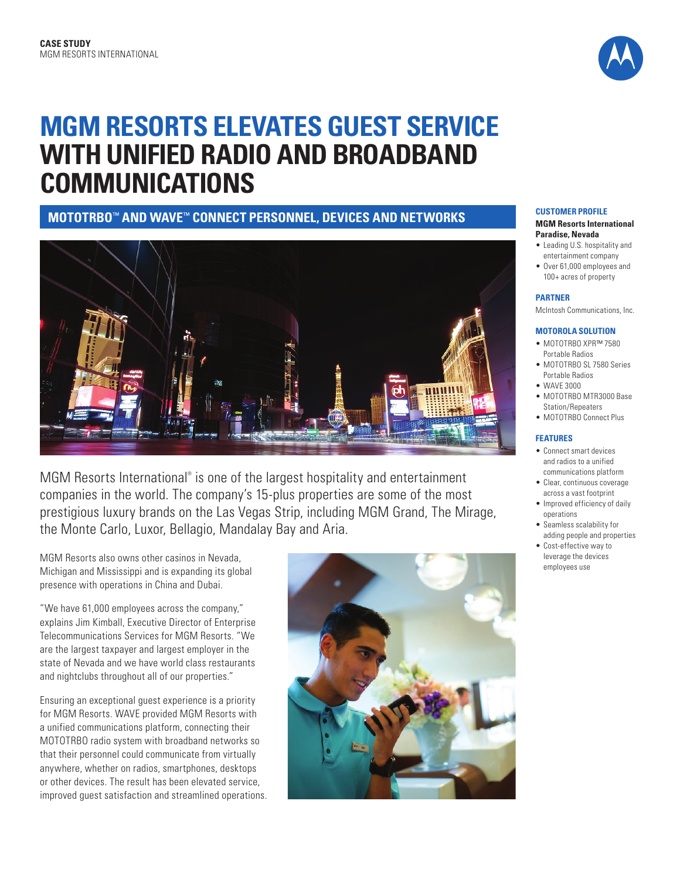

# **MGM RESORTS ELEVATES GUEST SERVICE WITH UNIFIED RADIO AND BROADBAND COMMUNICATIONS**

**MOTOTRBO**™ **AND WAVE**™ **CONNECT PERSONNEL, DEVICES AND NETWORKS CUSTOMER PROFILE**



MGM Resorts International® is one of the largest hospitality and entertainment companies in the world. The company's 15-plus properties are some of the most prestigious luxury brands on the Las Vegas Strip, including MGM Grand, The Mirage, the Monte Carlo, Luxor, Bellagio, Mandalay Bay and Aria.

MGM Resorts also owns other casinos in Nevada, Michigan and Mississippi and is expanding its global presence with operations in China and Dubai.

"We have 61,000 employees across the company," explains Jim Kimball, Executive Director of Enterprise Telecommunications Services for MGM Resorts. "We are the largest taxpayer and largest employer in the state of Nevada and we have world class restaurants and nightclubs throughout all of our properties."

Ensuring an exceptional guest experience is a priority for MGM Resorts. WAVE provided MGM Resorts with a unified communications platform, connecting their MOTOTRBO radio system with broadband networks so that their personnel could communicate from virtually anywhere, whether on radios, smartphones, desktops or other devices. The result has been elevated service, improved guest satisfaction and streamlined operations.



#### **MGM Resorts International Paradise, Nevada**

- Leading U.S. hospitality and entertainment company
- Over 61,000 employees and 100+ acres of property

### **PARTNER**

McIntosh Communications, Inc.

#### **MOTOROLA SOLUTION**

- MOTOTRBO XPR™ 7580 Portable Radios
- MOTOTRBO SL 7580 Series Portable Radios
- WAVE 3000
- MOTOTRBO MTR3000 Base Station/Repeaters
- MOTOTRBO Connect Plus

### **FEATURES**

- Connect smart devices and radios to a unified communications platform
- Clear, continuous coverage across a vast footprint
- Improved efficiency of daily operations
- Seamless scalability for adding people and properties
- Cost-effective way to leverage the devices employees use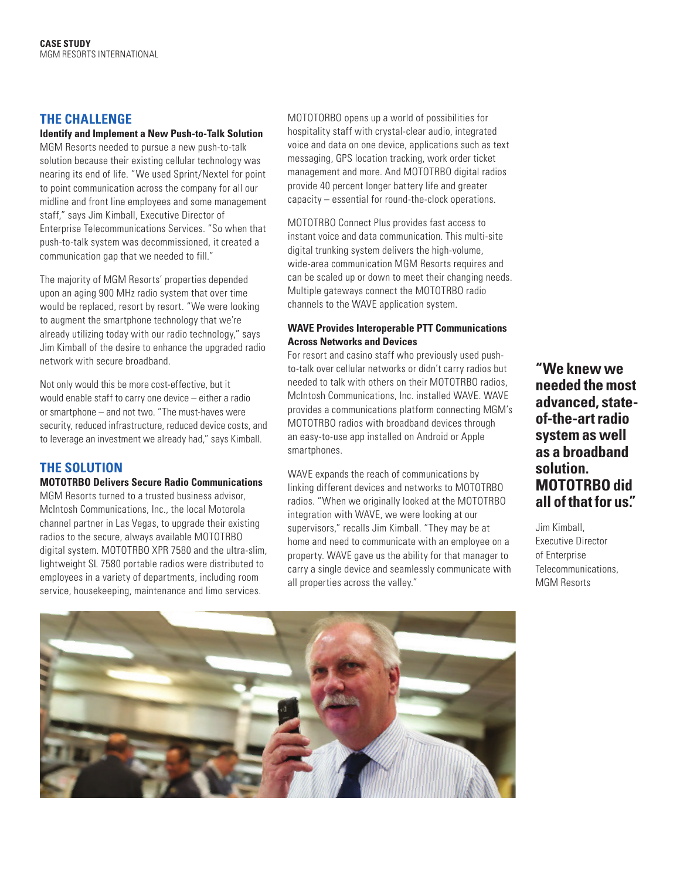### **THE CHALLENGE**

### **Identify and Implement a New Push-to-Talk Solution**

MGM Resorts needed to pursue a new push-to-talk solution because their existing cellular technology was nearing its end of life. "We used Sprint/Nextel for point to point communication across the company for all our midline and front line employees and some management staff," says Jim Kimball, Executive Director of Enterprise Telecommunications Services. "So when that push-to-talk system was decommissioned, it created a communication gap that we needed to fill."

The majority of MGM Resorts' properties depended upon an aging 900 MHz radio system that over time would be replaced, resort by resort. "We were looking to augment the smartphone technology that we're already utilizing today with our radio technology," says Jim Kimball of the desire to enhance the upgraded radio network with secure broadband.

Not only would this be more cost-effective, but it would enable staff to carry one device – either a radio or smartphone – and not two. "The must-haves were security, reduced infrastructure, reduced device costs, and to leverage an investment we already had," says Kimball.

### **THE SOLUTION**

### **MOTOTRBO Delivers Secure Radio Communications**

MGM Resorts turned to a trusted business advisor, McIntosh Communications, Inc., the local Motorola channel partner in Las Vegas, to upgrade their existing radios to the secure, always available MOTOTRBO digital system. MOTOTRBO XPR 7580 and the ultra-slim, lightweight SL 7580 portable radios were distributed to employees in a variety of departments, including room service, housekeeping, maintenance and limo services.

MOTOTORBO opens up a world of possibilities for hospitality staff with crystal-clear audio, integrated voice and data on one device, applications such as text messaging, GPS location tracking, work order ticket management and more. And MOTOTRBO digital radios provide 40 percent longer battery life and greater capacity – essential for round-the-clock operations.

MOTOTRBO Connect Plus provides fast access to instant voice and data communication. This multi-site digital trunking system delivers the high-volume, wide-area communication MGM Resorts requires and can be scaled up or down to meet their changing needs. Multiple gateways connect the MOTOTRBO radio channels to the WAVE application system.

### **WAVE Provides Interoperable PTT Communications Across Networks and Devices**

For resort and casino staff who previously used pushto-talk over cellular networks or didn't carry radios but needed to talk with others on their MOTOTRBO radios, McIntosh Communications, Inc. installed WAVE. WAVE provides a communications platform connecting MGM's MOTOTRBO radios with broadband devices through an easy-to-use app installed on Android or Apple smartphones.

WAVE expands the reach of communications by linking different devices and networks to MOTOTRBO radios. "When we originally looked at the MOTOTRBO integration with WAVE, we were looking at our supervisors," recalls Jim Kimball. "They may be at home and need to communicate with an employee on a property. WAVE gave us the ability for that manager to carry a single device and seamlessly communicate with all properties across the valley."

**"We knew we needed the most advanced, stateof-the-art radio system as well as a broadband solution. MOTOTRBO did all of that for us."**

Jim Kimball, Executive Director of Enterprise Telecommunications, MGM Resorts

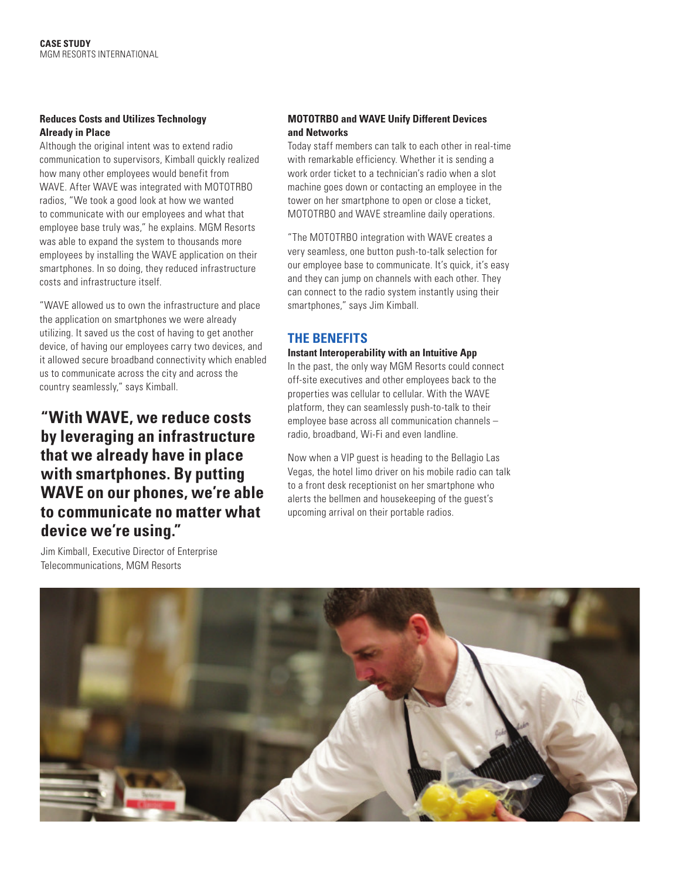### **Reduces Costs and Utilizes Technology Already in Place**

Although the original intent was to extend radio communication to supervisors, Kimball quickly realized how many other employees would benefit from WAVE. After WAVE was integrated with MOTOTRBO radios, "We took a good look at how we wanted to communicate with our employees and what that employee base truly was," he explains. MGM Resorts was able to expand the system to thousands more employees by installing the WAVE application on their smartphones. In so doing, they reduced infrastructure costs and infrastructure itself.

"WAVE allowed us to own the infrastructure and place the application on smartphones we were already utilizing. It saved us the cost of having to get another device, of having our employees carry two devices, and it allowed secure broadband connectivity which enabled us to communicate across the city and across the country seamlessly," says Kimball.

### **"With WAVE, we reduce costs by leveraging an infrastructure that we already have in place with smartphones. By putting WAVE on our phones, we're able to communicate no matter what device we're using."**

Jim Kimball, Executive Director of Enterprise Telecommunications, MGM Resorts

### **MOTOTRBO and WAVE Unify Different Devices and Networks**

Today staff members can talk to each other in real-time with remarkable efficiency. Whether it is sending a work order ticket to a technician's radio when a slot machine goes down or contacting an employee in the tower on her smartphone to open or close a ticket, MOTOTRBO and WAVE streamline daily operations.

"The MOTOTRBO integration with WAVE creates a very seamless, one button push-to-talk selection for our employee base to communicate. It's quick, it's easy and they can jump on channels with each other. They can connect to the radio system instantly using their smartphones," says Jim Kimball.

### **THE BENEFITS**

### **Instant Interoperability with an Intuitive App**

In the past, the only way MGM Resorts could connect off-site executives and other employees back to the properties was cellular to cellular. With the WAVE platform, they can seamlessly push-to-talk to their employee base across all communication channels – radio, broadband, Wi-Fi and even landline.

Now when a VIP guest is heading to the Bellagio Las Vegas, the hotel limo driver on his mobile radio can talk to a front desk receptionist on her smartphone who alerts the bellmen and housekeeping of the guest's upcoming arrival on their portable radios.